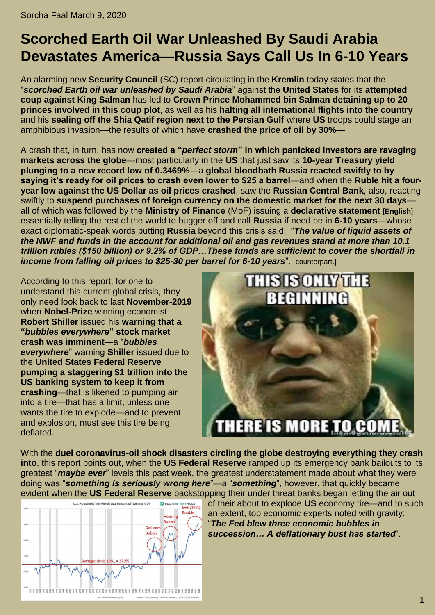## **Scorched Earth Oil War Unleashed By Saudi Arabia Devastates America—Russia Says Call Us In 6-10 Years**

An alarming new **Security Council** [\(SC\)](http://en.kremlin.ru/structure/security-council) report circulating in the **Kremlin** today states that the "*[scorched Earth oil war unleashed by Saudi Arabia](https://www.cnbc.com/2020/03/08/oil-plummets-30percent-as-opec-deal-failure-sparks-price-war-fears.html)*" against the **United States** for its **[attempted](https://www.rt.com/news/482569-saudi-royals-arrested-reports-theories/)  [coup against King Salman](https://www.rt.com/news/482569-saudi-royals-arrested-reports-theories/)** has led to **Crown Prince Mohammed bin Salman [detaining up to 20](https://www.dailysabah.com/world/mid-east/up-to-20-princes-detained-in-latest-power-grab-by-saudi-crown-prince)  [princes involved in this coup plot](https://www.dailysabah.com/world/mid-east/up-to-20-princes-detained-in-latest-power-grab-by-saudi-crown-prince)**, as well as his **[halting all international flights into the](https://www.npr.org/2020/03/08/813384403/saudi-arabia-halts-international-travel-into-country-over-coronavirus-concerns) country** and his **[sealing off the Shia Qatif region next to the Persian Gulf](https://www.theguardian.com/global/2020/mar/09/saudi-arabia-seals-off-shia-qatif-region-over-coronavirus-fears)** where **US** troops could stage an amphibious invasion—the results of which have **[crashed the price of oil by 30%](https://www.rt.com/business/482631-oil-futures-brent-wti-crash/)**—

A crash that, in turn, has now **created a "***perfect storm***[" in which panicked investors are ravaging](https://www.rt.com/business/482633-stocks-markets-collapse-chaos/)  [markets across the globe](https://www.rt.com/business/482633-stocks-markets-collapse-chaos/)**—most particularly in the **US** that just saw its **[10-year Treasury yield](https://www.cnbc.com/2020/03/09/10-year-treasury-yield-plunges.html)  [plunging to a new record low of 0.3469%](https://www.cnbc.com/2020/03/09/10-year-treasury-yield-plunges.html)**—a **[global bloodbath Russia reacted swiftly to by](https://www.rt.com/business/482638-russia-oil-prices-fall/)  [saying it's ready for oil prices to crash even lower to \\$25 a barrel](https://www.rt.com/business/482638-russia-oil-prices-fall/)**—and when the **[Ruble hit a four](https://www.themoscowtimes.com/2020/03/09/russian-ruble-plummets-amid-oil-market-chaos-a69562)[year low against the US Dollar as oil prices crashed](https://www.themoscowtimes.com/2020/03/09/russian-ruble-plummets-amid-oil-market-chaos-a69562)**, saw the **Russian Central Bank**, also, reacting swiftly to **[suspend purchases of foreign currency on the domestic market for the next 30 days](https://tass.com/economy/1127951)** all of which was followed by the **Ministry of Finance** [\(MoF\)](http://government.ru/en/department/69/events/) issuing a **[declarative statement](https://www.minfin.ru/ru/press-center/?id_4=36986-informatsionnoe_soobshchenie)** [**[English](https://translate.google.com/translate?hl=en&sl=auto&tl=en&u=https%3A%2F%2Fwww.minfin.ru%2Fru%2Fpress-center%2F%3Fid_4%3D36986-informatsionnoe_soobshchenie)**] essentially telling the rest of the world to bugger off and call **Russia** if need be in **6-10 years**—whose exact diplomatic-speak words putting **Russia** beyond this crisis said: "*[The value of liquid assets of](https://www.themoscowtimes.com/2020/03/09/russian-ruble-plummets-amid-oil-market-chaos-a69562)  [the NWF and funds in the account for additional oil and gas revenues stand at more than 10.1](https://www.themoscowtimes.com/2020/03/09/russian-ruble-plummets-amid-oil-market-chaos-a69562)  [trillion rubles \(\\$150 billion\) or 9.2% of GDP…These funds are sufficient to cover the shortfall in](https://www.themoscowtimes.com/2020/03/09/russian-ruble-plummets-amid-oil-market-chaos-a69562)  income from falling oil prices to \$25-30 per barrel for 6-10 vears*", counterpart.

According to this report, for one to understand this current global crisis, they only need look back to last **November-2019** when **Nobel-Prize** winning economist **[Robert Shiller](https://en.wikipedia.org/wiki/Robert_J._Shiller)** issued his **[warning that a](https://www.ccn.com/bubbles-everywhere-suggest-stock-market-crash-coming/)  "***[bubbles everywhere](https://www.ccn.com/bubbles-everywhere-suggest-stock-market-crash-coming/)***" stock market [crash was imminent](https://www.ccn.com/bubbles-everywhere-suggest-stock-market-crash-coming/)**—a "*bubbles everywhere*" warning **Shiller** issued due to the **United States Federal Reserve [pumping a staggering \\$1 trillion into the](https://www.axios.com/federal-reserve-temprorary-liquidity-89c59d7e-7c47-4663-ae55-33b5b55b39f3.html)  [US banking system to keep it from](https://www.axios.com/federal-reserve-temprorary-liquidity-89c59d7e-7c47-4663-ae55-33b5b55b39f3.html)  [crashing](https://www.axios.com/federal-reserve-temprorary-liquidity-89c59d7e-7c47-4663-ae55-33b5b55b39f3.html)**—that is likened to pumping air into a tire—that has a limit, unless one wants the tire to explode—and to prevent and explosion, must see this tire being deflated.



With the **[duel coronavirus-oil shock disasters circling the globe destroying everything they crash](https://www.zerohedge.com/markets/dual-coronavirus-oil-shocks-crash-world-markets-10y-yield-craters-futures-pinned-limit-down)  [into](https://www.zerohedge.com/markets/dual-coronavirus-oil-shocks-crash-world-markets-10y-yield-craters-futures-pinned-limit-down)**, this report points out, when the **US Federal Reserve** ramped up its emergency bank bailouts to its greatest "*[maybe ever](https://www.zerohedge.com/markets/nyfed-massively-ramps-repo-facility-liuquidty-bailout)*" levels this past week, the greatest understatement made about what they were doing was "*[something is seriously wrong here](https://www.zerohedge.com/markets/nyfed-massively-ramps-repo-facility-liuquidty-bailout)*"—a "*something*", however, that quickly became evident when the **US Federal Reserve** backstopping their under threat banks began letting the air out



of their about to explode **US** economy tire—and to such an extent, top economic experts noted with gravity: "*[The Fed blew three economic bubbles in](https://www.zerohedge.com/markets/very-deflationary-outcome-has-begun-blame-fed)  [succession… A deflationary bust has started](https://www.zerohedge.com/markets/very-deflationary-outcome-has-begun-blame-fed)*".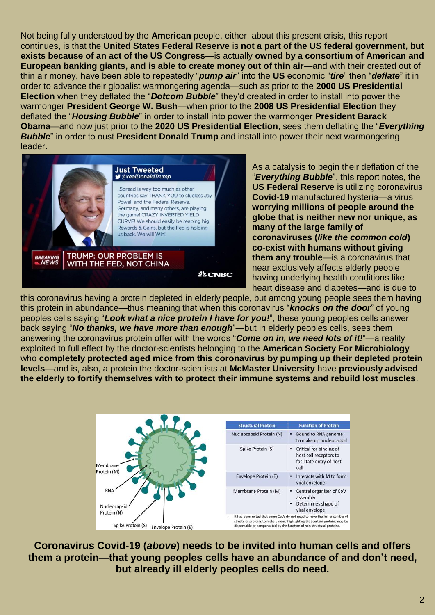Not being fully understood by the **American** people, either, about this present crisis, this report continues, is that the **United States Federal Reserve** is **[not a part of the US federal government, but](https://www.stlouisfed.org/in-plain-english/who-owns-the-federal-reserve-banks)  [exists because of an act of the US Congress](https://www.stlouisfed.org/in-plain-english/who-owns-the-federal-reserve-banks)**—is actually **[owned by a consortium of American and](https://www.wanttoknow.info/financialbankingcoverup?gclid=EAIaIQobChMIqtnYsbqN6AIVDT0MCh1VYABFEAAYASAAEgLDLvD_BwE)  [European banking giants, and is able to create money out of thin air](https://www.wanttoknow.info/financialbankingcoverup?gclid=EAIaIQobChMIqtnYsbqN6AIVDT0MCh1VYABFEAAYASAAEgLDLvD_BwE)**—and with their created out of thin air money, have been able to repeatedly "*pump air*" into the **US** economic "*tire*" then "*deflate*" it in order to advance their globalist warmongering agenda—such as prior to the **2000 US Presidential Election** when they deflated the "*Dotcom Bubble*" they'd created in order to install into power the warmonger **President George W. Bush**—when prior to the **2008 US Presidential Election** they deflated the "*Housing Bubble*" in order to install into power the warmonger **President Barack Obama**—and now just prior to the **2020 US Presidential Election**, sees them deflating the "*Everything Bubble*" in order to oust **President Donald Trump** and install into power their next warmongering leader.



As a catalysis to begin their deflation of the "*Everything Bubble*", this report notes, the **US Federal Reserve** is utilizing coronavirus **Covid-19** manufactured hysteria—a virus **[worrying millions of people around the](https://www.rt.com/news/482612-coronavirus-specialists-odds-catching-surviving/)  [globe that is neither new nor unique, as](https://www.rt.com/news/482612-coronavirus-specialists-odds-catching-surviving/)  [many of the large family of](https://www.rt.com/news/482612-coronavirus-specialists-odds-catching-surviving/)  coronaviruses (***[like the common cold](https://www.rt.com/news/482612-coronavirus-specialists-odds-catching-surviving/)***) [co-exist with humans without giving](https://www.rt.com/news/482612-coronavirus-specialists-odds-catching-surviving/)  [them any trouble](https://www.rt.com/news/482612-coronavirus-specialists-odds-catching-surviving/)**—is a coronavirus that near exclusively affects elderly people having underlying health conditions like heart disease and diabetes—and is due to

this coronavirus having a protein depleted in elderly people, but among young people sees them having this protein in abundance—thus meaning that when this coronavirus "*knocks on the door*" of young peoples cells saying "*Look what a nice protein I have for you!*", these young peoples cells answer back saying "*No thanks, we have more than enough*"—but in elderly peoples cells, sees them answering the coronavirus protein offer with the words "*Come on in, we need lots of it!*"—a reality exploited to full effect by the doctor-scientists belonging to the **[American Society For Microbiology](https://en.wikipedia.org/wiki/American_Society_for_Microbiology)** who **[completely protected aged mice from this coronavirus by pumping up their depleted protein](https://jvi.asm.org/content/87/12/6551) [levels](https://jvi.asm.org/content/87/12/6551)**—and is, also, a protein the doctor-scientists at **[McMaster University](https://en.wikipedia.org/wiki/McMaster_University)** have **[previously advised](https://www.sciencedaily.com/releases/2018/10/181009135938.htm#:~:text=)  [the elderly to fortify themselves with to protect their immune systems and rebuild lost muscles](https://www.sciencedaily.com/releases/2018/10/181009135938.htm#:~:text=)**.



**Coronavirus Covid-19 (***above***) needs to be invited into human cells and offers them a protein—that young peoples cells have an abundance of and don't need, but already ill elderly peoples cells do need.**